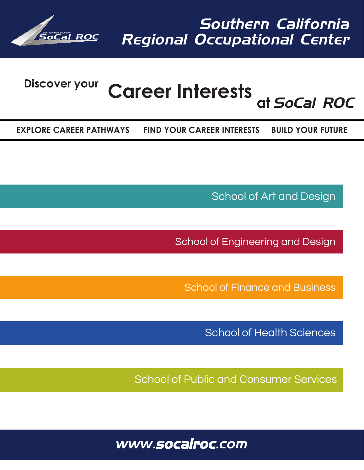

# **Discover your Career Interests at** *SoCal ROC*

**EXPLORE CAREER PATHWAYS FIND YOUR CAREER INTERESTS BUILD YOUR FUTURE**

School of Art and Design

School of Engineering and Design

School of Finance and Business

School of Health Sciences

School of Public and Consumer Services

*www.socalroc.com*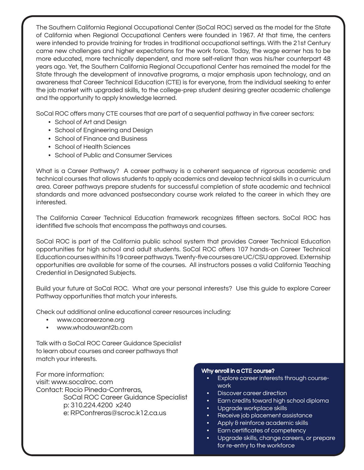The Southern California Regional Occupational Center (SoCal ROC) served as the model for the State of California when Regional Occupational Centers were founded in 1967. At that time, the centers were intended to provide training for trades in traditional occupational settings. With the 21st Century came new challenges and higher expectations for the work force. Today, the wage earner has to be more educated, more technically dependent, and more self-reliant than was his/her counterpart 48 years ago. Yet, the Southern California Regional Occupational Center has remained the model for the State through the development of innovative programs, a major emphasis upon technology, and an awareness that Career Technical Education (CTE) is for everyone, from the individual seeking to enter the job market with upgraded skills, to the college-prep student desiring greater academic challenge and the opportunity to apply knowledge learned.

SoCal ROC offers many CTE courses that are part of a sequential pathway in five career sectors:

- School of Art and Design
- School of Engineering and Design
- School of Finance and Business
- School of Health Sciences
- School of Public and Consumer Services

What is a Career Pathway? A career pathway is a coherent sequence of rigorous academic and technical courses that allows students to apply academics and develop technical skills in a curriculum area. Career pathways prepare students for successful completion of state academic and technical standards and more advanced postsecondary course work related to the career in which they are interested.

The California Career Technical Education framework recognizes fifteen sectors. SoCal ROC has identified five schools that encompass the pathways and courses.

SoCal ROC is part of the California public school system that provides Career Technical Education opportunities for high school and adult students. SoCal ROC offers 107 hands-on Career Technical Education courses within its 19 career pathways. Twenty-five courses are UC/CSU approved. Externship opportunities are available for some of the courses. All instructors posses a valid California Teaching Credential in Designated Subjects.

Build your future at SoCal ROC. What are your personal interests? Use this guide to explore Career Pathway opportunities that match your interests.

Check out additional online educational career resources including:

- www.cacareerzone.org
- www.whodouwant2b.com

Talk with a SoCal ROC Career Guidance Specialist to learn about courses and career pathways that match your interests.

For more information: visit: www.socalroc. com Contact: Rocio Pineda-Contreras, SoCal ROC Career Guidance Specialist p: 310.224.4200 x240 e: RPContreras@scroc.k12.ca.us

#### Why enroll in a CTE course?

- Explore career interests through coursework
- Discover career direction
- Earn credits toward high school diploma
- Upgrade workplace skills
- Receive job placement assistance
- Apply & reinforce academic skills
- Earn certificates of competency
- Upgrade skills, change careers, or prepare for re-entry to the workforce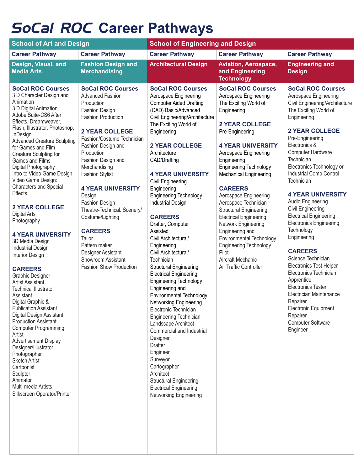## *SoCal ROC* **Career Pathways**

| <b>School of Art and Design</b>                                                                                                                                                                                                                                                                                                                                                                                                                                                                                                                                                                                                                                                                                                                                                                                                                                                                                                                                                                                                                     |                                                                                                                                                                                                                                                                                                                                                                                                                                                                                                                           | <b>School of Engineering and Design</b>                                                                                                                                                                                                                                                                                                                                                                                                                                                                                                                                                                                                                                                                                                                                                                                                                                                                                                                                       |                                                                                                                                                                                                                                                                                                                                                                                                                                                                                                                                                                          |                                                                                                                                                                                                                                                                                                                                                                                                                                                                                                                                                                                                                                                                                                                                                                |
|-----------------------------------------------------------------------------------------------------------------------------------------------------------------------------------------------------------------------------------------------------------------------------------------------------------------------------------------------------------------------------------------------------------------------------------------------------------------------------------------------------------------------------------------------------------------------------------------------------------------------------------------------------------------------------------------------------------------------------------------------------------------------------------------------------------------------------------------------------------------------------------------------------------------------------------------------------------------------------------------------------------------------------------------------------|---------------------------------------------------------------------------------------------------------------------------------------------------------------------------------------------------------------------------------------------------------------------------------------------------------------------------------------------------------------------------------------------------------------------------------------------------------------------------------------------------------------------------|-------------------------------------------------------------------------------------------------------------------------------------------------------------------------------------------------------------------------------------------------------------------------------------------------------------------------------------------------------------------------------------------------------------------------------------------------------------------------------------------------------------------------------------------------------------------------------------------------------------------------------------------------------------------------------------------------------------------------------------------------------------------------------------------------------------------------------------------------------------------------------------------------------------------------------------------------------------------------------|--------------------------------------------------------------------------------------------------------------------------------------------------------------------------------------------------------------------------------------------------------------------------------------------------------------------------------------------------------------------------------------------------------------------------------------------------------------------------------------------------------------------------------------------------------------------------|----------------------------------------------------------------------------------------------------------------------------------------------------------------------------------------------------------------------------------------------------------------------------------------------------------------------------------------------------------------------------------------------------------------------------------------------------------------------------------------------------------------------------------------------------------------------------------------------------------------------------------------------------------------------------------------------------------------------------------------------------------------|
| <b>Career Pathway</b>                                                                                                                                                                                                                                                                                                                                                                                                                                                                                                                                                                                                                                                                                                                                                                                                                                                                                                                                                                                                                               | <b>Career Pathway</b>                                                                                                                                                                                                                                                                                                                                                                                                                                                                                                     | <b>Career Pathway</b>                                                                                                                                                                                                                                                                                                                                                                                                                                                                                                                                                                                                                                                                                                                                                                                                                                                                                                                                                         | <b>Career Pathway</b>                                                                                                                                                                                                                                                                                                                                                                                                                                                                                                                                                    | <b>Career Pathway</b>                                                                                                                                                                                                                                                                                                                                                                                                                                                                                                                                                                                                                                                                                                                                          |
| Design, Visual, and<br><b>Media Arts</b>                                                                                                                                                                                                                                                                                                                                                                                                                                                                                                                                                                                                                                                                                                                                                                                                                                                                                                                                                                                                            | <b>Fashion Design and</b><br><b>Merchandising</b>                                                                                                                                                                                                                                                                                                                                                                                                                                                                         | <b>Architectural Design</b>                                                                                                                                                                                                                                                                                                                                                                                                                                                                                                                                                                                                                                                                                                                                                                                                                                                                                                                                                   | <b>Aviation, Aerospace,</b><br>and Engineering<br><b>Technology</b>                                                                                                                                                                                                                                                                                                                                                                                                                                                                                                      | <b>Engineering and</b><br><b>Design</b>                                                                                                                                                                                                                                                                                                                                                                                                                                                                                                                                                                                                                                                                                                                        |
| <b>SoCal ROC Courses</b><br>3 D Character Design and<br>Animation<br>3 D Digital Animation<br>Adobe Suite-CS6 After<br>Effects, Dreamweaver,<br>Flash, Illustrator, Photoshop,<br>InDesign<br><b>Advanced Creature Sculpting</b><br>for Games and Film<br>Creature Sculpting for<br>Games and Films<br>Digital Photography<br>Intro to Video Game Design<br>Video Game Design:<br><b>Characters and Special</b><br>Effects<br><b>2 YEAR COLLEGE</b><br>Digital Arts<br>Photography<br><b>4 YEAR UNIVERSITY</b><br>3D Media Design<br><b>Industrial Design</b><br>Interior Design<br><b>CAREERS</b><br>Graphic Designer<br><b>Artist Assistant</b><br><b>Technical Illustrator</b><br>Assistant<br>Digital Graphic &<br><b>Publication Assistant</b><br>Digital Design Assistant<br><b>Production Assistant</b><br><b>Computer Programming</b><br>Artist<br><b>Advertisement Display</b><br>Designer/Illustrator<br>Photographer<br><b>Sketch Artist</b><br>Cartoonist<br>Sculptor<br>Animator<br>Multi-media Artists<br>Silkscreen Operator/Printer | <b>SoCal ROC Courses</b><br><b>Advanced Fashion</b><br>Production<br>Fashion Design<br><b>Fashion Production</b><br><b>2 YEAR COLLEGE</b><br>Fashion/Costume Technician<br>Fashion Design and<br>Production<br>Fashion Design and<br>Merchandising<br><b>Fashion Stylist</b><br><b>4 YEAR UNIVERSITY</b><br>Design<br><b>Fashion Design</b><br>Theatre-Technical: Scenery/<br>Costume/Lighting<br><b>CAREERS</b><br>Tailor<br>Pattern maker<br>Designer Assistant<br>Showroom Assistant<br><b>Fashion Show Production</b> | <b>SoCal ROC Courses</b><br>Aerospace Engineering<br><b>Computer Aided Drafting</b><br>(CAD) Basic/Advanced<br>Civil Engineering/Architecture<br>The Exciting World of<br>Engineering<br><b>2 YEAR COLLEGE</b><br>Architecture<br>CAD/Drafting<br><b>4 YEAR UNIVERSITY</b><br>Civil Engineering<br>Engineering<br><b>Engineering Technology</b><br><b>Industrial Design</b><br><b>CAREERS</b><br>Drafter, Computer<br>Assisted<br>Civil Architectural/<br>Engineering<br>Civil Architectural/<br>Technician<br><b>Structural Engineering</b><br><b>Electrical Engineering</b><br><b>Engineering Technology</b><br>Engineering and<br>Environmental Technology<br>Networking Engineering<br>Electronic Technician<br>Engineering Technician<br>Landscape Architect<br>Commercial and Industrial<br>Designer<br><b>Drafter</b><br>Engineer<br>Surveyor<br>Cartographer<br>Architect<br><b>Structural Engineering</b><br><b>Electrical Engineering</b><br>Networking Engineering | <b>SoCal ROC Courses</b><br>Aerospace Engineering<br>The Exciting World of<br>Engineering<br><b>2 YEAR COLLEGE</b><br>Pre-Engineering<br><b>4 YEAR UNIVERSITY</b><br>Aerospace Engineering<br>Engineering<br><b>Engineering Technology</b><br><b>Mechanical Engineering</b><br><b>CAREERS</b><br>Aerospace Engineering<br>Aerospace Technician<br><b>Structural Engineering</b><br><b>Electrical Engineering</b><br>Network Engineering<br>Engineering and<br>Environmental Technology<br>Engineering Technology<br>Pilot<br>Aircraft Mechanic<br>Air Traffic Controller | <b>SoCal ROC Courses</b><br>Aerospace Engineering<br>Civil Engineering/Architecture<br>The Exciting World of<br>Engineering<br><b>2 YEAR COLLEGE</b><br>Pre-Engineering<br>Electronics &<br>Computer Hardware<br>Technician<br>Electronics Technology or<br><b>Industrial Comp Control</b><br>Technician<br><b>4 YEAR UNIVERSITY</b><br>Audio Engineering<br><b>Civil Engineering</b><br><b>Electrical Engineering</b><br><b>Electronics Engineering</b><br>Technology<br>Engineering<br><b>CAREERS</b><br>Science Technician<br><b>Electronics Test Helper</b><br>Electronics Technician<br>Apprentice<br><b>Electronics Tester</b><br>Electrician Maintenance<br>Repairer<br><b>Electronic Equipment</b><br>Repairer<br><b>Computer Software</b><br>Engineer |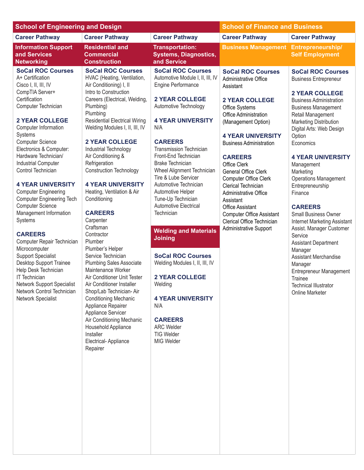| <b>School of Engineering and Design</b>                                                                                                                                                                                                                                                                                                                                                                                                                                                                                                                                                                                                                                                                                                                 |                                                                                                                                                                                                                                                                                                                                                                                                                                                                                                                                                                                                                                                                                                                                                                                                                                                                                                      |                                                                                                                                                                                                                                                                                                                                                                                                                                                                                                                                                                                                                                                                                                                                | <b>School of Finance and Business</b>                                                                                                                                                                                                                                                                                                                                                                                                                                                          |                                                                                                                                                                                                                                                                                                                                                                                                                                                                                                                                                                                                                                                                                                      |
|---------------------------------------------------------------------------------------------------------------------------------------------------------------------------------------------------------------------------------------------------------------------------------------------------------------------------------------------------------------------------------------------------------------------------------------------------------------------------------------------------------------------------------------------------------------------------------------------------------------------------------------------------------------------------------------------------------------------------------------------------------|------------------------------------------------------------------------------------------------------------------------------------------------------------------------------------------------------------------------------------------------------------------------------------------------------------------------------------------------------------------------------------------------------------------------------------------------------------------------------------------------------------------------------------------------------------------------------------------------------------------------------------------------------------------------------------------------------------------------------------------------------------------------------------------------------------------------------------------------------------------------------------------------------|--------------------------------------------------------------------------------------------------------------------------------------------------------------------------------------------------------------------------------------------------------------------------------------------------------------------------------------------------------------------------------------------------------------------------------------------------------------------------------------------------------------------------------------------------------------------------------------------------------------------------------------------------------------------------------------------------------------------------------|------------------------------------------------------------------------------------------------------------------------------------------------------------------------------------------------------------------------------------------------------------------------------------------------------------------------------------------------------------------------------------------------------------------------------------------------------------------------------------------------|------------------------------------------------------------------------------------------------------------------------------------------------------------------------------------------------------------------------------------------------------------------------------------------------------------------------------------------------------------------------------------------------------------------------------------------------------------------------------------------------------------------------------------------------------------------------------------------------------------------------------------------------------------------------------------------------------|
| <b>Career Pathway</b>                                                                                                                                                                                                                                                                                                                                                                                                                                                                                                                                                                                                                                                                                                                                   | <b>Career Pathway</b>                                                                                                                                                                                                                                                                                                                                                                                                                                                                                                                                                                                                                                                                                                                                                                                                                                                                                | <b>Career Pathway</b>                                                                                                                                                                                                                                                                                                                                                                                                                                                                                                                                                                                                                                                                                                          | <b>Career Pathway</b>                                                                                                                                                                                                                                                                                                                                                                                                                                                                          | <b>Career Pathway</b>                                                                                                                                                                                                                                                                                                                                                                                                                                                                                                                                                                                                                                                                                |
| <b>Information Support</b><br>and Services<br><b>Networking</b>                                                                                                                                                                                                                                                                                                                                                                                                                                                                                                                                                                                                                                                                                         | <b>Residential and</b><br><b>Commercial</b><br><b>Construction</b>                                                                                                                                                                                                                                                                                                                                                                                                                                                                                                                                                                                                                                                                                                                                                                                                                                   | <b>Transportation:</b><br><b>Systems, Diagnostics,</b><br>and Service                                                                                                                                                                                                                                                                                                                                                                                                                                                                                                                                                                                                                                                          | <b>Business Management Entrepreneurship/</b>                                                                                                                                                                                                                                                                                                                                                                                                                                                   | <b>Self Employment</b>                                                                                                                                                                                                                                                                                                                                                                                                                                                                                                                                                                                                                                                                               |
| <b>SoCal ROC Courses</b><br>A+ Certification<br>Cisco I, II, III, IV<br>CompTIA Server+<br>Certification<br>Computer Technician<br><b>2 YEAR COLLEGE</b><br>Computer Information<br>Systems<br><b>Computer Science</b><br>Electronics & Computer:<br>Hardware Technician/<br><b>Industrial Computer</b><br>Control Technician<br><b>4 YEAR UNIVERSITY</b><br><b>Computer Engineering</b><br><b>Computer Engineering Tech</b><br><b>Computer Science</b><br>Management Information<br>Systems<br><b>CAREERS</b><br>Computer Repair Technician<br>Microcomputer<br><b>Support Specialist</b><br>Desktop Support Trainee<br>Help Desk Technician<br><b>IT Technician</b><br>Network Support Specialist<br>Network Control Technician<br>Network Specialist | <b>SoCal ROC Courses</b><br>HVAC (Heating, Ventilation,<br>Air Conditioning) I, II<br>Intro to Construction<br>Careers (Electrical, Welding,<br>Plumbing)<br>Plumbing<br><b>Residential Electrical Wiring</b><br>Welding Modules I, II, III, IV<br><b>2 YEAR COLLEGE</b><br>Industrial Technology<br>Air Conditioning &<br>Refrigeration<br><b>Construction Technology</b><br><b>4 YEAR UNIVERSITY</b><br>Heating, Ventilation & Air<br>Conditioning<br><b>CAREERS</b><br>Carpenter<br>Craftsman<br>Contractor<br>Plumber<br>Plumber's Helper<br>Service Technician<br><b>Plumbing Sales Associate</b><br>Maintenance Worker<br>Air Conditioner Unit Tester<br>Air Conditioner Installer<br>Shop/Lab Technician-Air<br><b>Conditioning Mechanic</b><br>Appliance Repairer<br>Appliance Servicer<br>Air Conditioning Mechanic<br>Household Appliance<br>Installer<br>Electrical-Appliance<br>Repairer | <b>SoCal ROC Courses</b><br>Automotive Module I, II, III, IV<br>Engine Performance<br><b>2 YEAR COLLEGE</b><br>Automotive Technology<br><b>4 YEAR UNIVERSITY</b><br>N/A<br><b>CAREERS</b><br><b>Transmission Technician</b><br>Front-End Technician<br><b>Brake Technician</b><br><b>Wheel Alignment Technician</b><br>Tire & Lube Servicer<br>Automotive Technician<br>Automotive Helper<br>Tune-Up Technician<br><b>Automotive Electrical</b><br>Technician<br><b>Welding and Materials</b><br><b>Joining</b><br><b>SoCal ROC Courses</b><br>Welding Modules I, II, III, IV<br><b>2 YEAR COLLEGE</b><br>Welding<br><b>4 YEAR UNIVERSITY</b><br>N/A<br><b>CAREERS</b><br><b>ARC Welder</b><br><b>TIG Welder</b><br>MIG Welder | <b>SoCal ROC Courses</b><br>Administrative Office<br>Assistant<br><b>2 YEAR COLLEGE</b><br>Office Systems<br>Office Administration<br>(Management Option)<br><b>4 YEAR UNIVERSITY</b><br><b>Business Administration</b><br><b>CAREERS</b><br>Office Clerk<br>General Office Clerk<br>Computer Office Clerk<br>Clerical Technician<br>Administrative Office<br>Assistant<br><b>Office Assistant</b><br><b>Computer Office Assistant</b><br>Clerical Office Technician<br>Administrative Support | <b>SoCal ROC Courses</b><br><b>Business Entrepreneur</b><br><b>2 YEAR COLLEGE</b><br><b>Business Administration</b><br><b>Business Management</b><br>Retail Management<br>Marketing Distribution<br>Digital Arts: Web Design<br>Option<br>Economics<br><b>4 YEAR UNIVERSITY</b><br>Management<br>Marketing<br><b>Operations Management</b><br>Entrepreneurship<br>Finance<br><b>CAREERS</b><br><b>Small Business Owner</b><br><b>Internet Marketing Assistant</b><br>Assist. Manager Customer<br>Service<br><b>Assistant Department</b><br>Manager<br><b>Assistant Merchandise</b><br>Manager<br><b>Entrepreneur Management</b><br>Trainee<br><b>Technical Illustrator</b><br><b>Online Marketer</b> |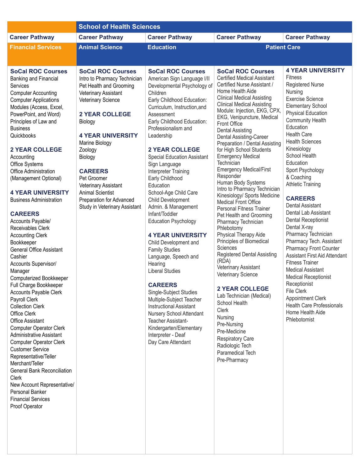|                                                                                                                                                                                                                                                                                                                                                                                                                                                                                                                                                                                                                                                                                                                                                                                                                                                                                                                                                                                                                                                                                                                     | <b>School of Health Sciences</b>                                                                                                                                                                                                                                                                                                                                                           |                                                                                                                                                                                                                                                                                                                                                                                                                                                                                                                                                                                                                                                                                                                                                                                                                                                                                               |                                                                                                                                                                                                                                                                                                                                                                                                                                                                                                                                                                                                                                                                                                                                                                                                                                                                                                                                                                                                                                                                           |                                                                                                                                                                                                                                                                                                                                                                                                                                                                                                                                                                                                                                                                                                                                                                                                                          |
|---------------------------------------------------------------------------------------------------------------------------------------------------------------------------------------------------------------------------------------------------------------------------------------------------------------------------------------------------------------------------------------------------------------------------------------------------------------------------------------------------------------------------------------------------------------------------------------------------------------------------------------------------------------------------------------------------------------------------------------------------------------------------------------------------------------------------------------------------------------------------------------------------------------------------------------------------------------------------------------------------------------------------------------------------------------------------------------------------------------------|--------------------------------------------------------------------------------------------------------------------------------------------------------------------------------------------------------------------------------------------------------------------------------------------------------------------------------------------------------------------------------------------|-----------------------------------------------------------------------------------------------------------------------------------------------------------------------------------------------------------------------------------------------------------------------------------------------------------------------------------------------------------------------------------------------------------------------------------------------------------------------------------------------------------------------------------------------------------------------------------------------------------------------------------------------------------------------------------------------------------------------------------------------------------------------------------------------------------------------------------------------------------------------------------------------|---------------------------------------------------------------------------------------------------------------------------------------------------------------------------------------------------------------------------------------------------------------------------------------------------------------------------------------------------------------------------------------------------------------------------------------------------------------------------------------------------------------------------------------------------------------------------------------------------------------------------------------------------------------------------------------------------------------------------------------------------------------------------------------------------------------------------------------------------------------------------------------------------------------------------------------------------------------------------------------------------------------------------------------------------------------------------|--------------------------------------------------------------------------------------------------------------------------------------------------------------------------------------------------------------------------------------------------------------------------------------------------------------------------------------------------------------------------------------------------------------------------------------------------------------------------------------------------------------------------------------------------------------------------------------------------------------------------------------------------------------------------------------------------------------------------------------------------------------------------------------------------------------------------|
| <b>Career Pathway</b>                                                                                                                                                                                                                                                                                                                                                                                                                                                                                                                                                                                                                                                                                                                                                                                                                                                                                                                                                                                                                                                                                               | <b>Career Pathway</b>                                                                                                                                                                                                                                                                                                                                                                      | <b>Career Pathway</b>                                                                                                                                                                                                                                                                                                                                                                                                                                                                                                                                                                                                                                                                                                                                                                                                                                                                         | <b>Career Pathway</b>                                                                                                                                                                                                                                                                                                                                                                                                                                                                                                                                                                                                                                                                                                                                                                                                                                                                                                                                                                                                                                                     | <b>Career Pathway</b>                                                                                                                                                                                                                                                                                                                                                                                                                                                                                                                                                                                                                                                                                                                                                                                                    |
| <b>Financial Services</b>                                                                                                                                                                                                                                                                                                                                                                                                                                                                                                                                                                                                                                                                                                                                                                                                                                                                                                                                                                                                                                                                                           | <b>Animal Science</b>                                                                                                                                                                                                                                                                                                                                                                      | <b>Education</b>                                                                                                                                                                                                                                                                                                                                                                                                                                                                                                                                                                                                                                                                                                                                                                                                                                                                              | <b>Patient Care</b>                                                                                                                                                                                                                                                                                                                                                                                                                                                                                                                                                                                                                                                                                                                                                                                                                                                                                                                                                                                                                                                       |                                                                                                                                                                                                                                                                                                                                                                                                                                                                                                                                                                                                                                                                                                                                                                                                                          |
|                                                                                                                                                                                                                                                                                                                                                                                                                                                                                                                                                                                                                                                                                                                                                                                                                                                                                                                                                                                                                                                                                                                     |                                                                                                                                                                                                                                                                                                                                                                                            |                                                                                                                                                                                                                                                                                                                                                                                                                                                                                                                                                                                                                                                                                                                                                                                                                                                                                               |                                                                                                                                                                                                                                                                                                                                                                                                                                                                                                                                                                                                                                                                                                                                                                                                                                                                                                                                                                                                                                                                           |                                                                                                                                                                                                                                                                                                                                                                                                                                                                                                                                                                                                                                                                                                                                                                                                                          |
| <b>SoCal ROC Courses</b><br>Banking and Financial<br>Services<br><b>Computer Accounting</b><br><b>Computer Applications</b><br>Modules (Access, Excel,<br>PowerPoint, and Word)<br>Principles of Law and<br><b>Business</b><br>Quickbooks<br><b>2 YEAR COLLEGE</b><br>Accounting<br>Office Systems<br>Office Administration<br>(Management Optional)<br><b>4 YEAR UNIVERSITY</b><br><b>Business Administration</b><br><b>CAREERS</b><br>Accounts Payable/<br>Receivables Clerk<br><b>Accounting Clerk</b><br>Bookkeeper<br><b>General Office Assistant</b><br>Cashier<br>Accounts Supervisor/<br>Manager<br><b>Computerized Bookkeeper</b><br>Full Charge Bookkeeper<br>Accounts Payable Clerk<br>Payroll Clerk<br><b>Collection Clerk</b><br>Office Clerk<br><b>Office Assistant</b><br><b>Computer Operator Clerk</b><br><b>Administrative Assistant</b><br><b>Computer Operator Clerk</b><br><b>Customer Service</b><br>Representative/Teller<br>Merchant/Teller<br><b>General Bank Reconciliation</b><br>Clerk<br>New Account Representative/<br>Personal Banker<br><b>Financial Services</b><br>Proof Operator | <b>SoCal ROC Courses</b><br>Intro to Pharmacy Technician<br>Pet Health and Grooming<br>Veterinary Assistant<br>Veterinary Science<br><b>2 YEAR COLLEGE</b><br>Biology<br><b>4 YEAR UNIVERSITY</b><br>Marine Biology<br>Zoology<br>Biology<br><b>CAREERS</b><br>Pet Groomer<br>Veterinary Assistant<br><b>Animal Scientist</b><br>Preparation for Advanced<br>Study in Veterinary Assistant | <b>SoCal ROC Courses</b><br>American Sign Language I/II<br>Developmental Psychology of<br>Children<br>Early Childhood Education:<br>Curriculum, Instruction, and<br>Assessment<br>Early Childhood Education:<br>Professionalism and<br>Leadership<br><b>2 YEAR COLLEGE</b><br><b>Special Education Assistant</b><br>Sign Language<br>Interpreter Training<br>Early Childhood<br>Education<br>School-Age Child Care<br>Child Development<br>Admin. & Management<br>Infant/Toddler<br><b>Education Psychology</b><br><b>4 YEAR UNIVERSITY</b><br>Child Development and<br><b>Family Studies</b><br>Language, Speech and<br>Hearing<br><b>Liberal Studies</b><br><b>CAREERS</b><br>Single-Subject Studies<br>Multiple-Subject Teacher<br><b>Instructional Assistant</b><br>Nursery School Attendant<br>Teacher Assistant-<br>Kindergarten/Elementary<br>Interpreter - Deaf<br>Day Care Attendant | <b>SoCal ROC Courses</b><br><b>Certified Medical Assistant</b><br>Certified Nurse Assistant /<br>Home Health Aide<br><b>Clinical Medical Assisting</b><br><b>Clinical Medical Assisting</b><br>Module: Injection, EKG, CPX,<br>EKG, Venipuncture, Medical<br>Front Office<br><b>Dental Assisting</b><br>Dental Assisting-Career<br>Preparation / Dental Assisting<br>for High School Students<br><b>Emergency Medical</b><br>Technician<br><b>Emergency Medical/First</b><br>Responder<br>Human Body Systems<br>Intro to Pharmacy Technician<br>Kinesiology/ Sports Medicine<br><b>Medical Front Office</b><br>Personal Fitness Trainer<br>Pet Health and Grooming<br>Pharmacy Technician<br>Phlebotomy<br>Physical Therapy Aide<br>Principles of Biomedical<br>Sciences<br>Registered Dental Assisting<br>(RDA)<br>Veterinary Assistant<br>Veterinary Science<br><b>2 YEAR COLLEGE</b><br>Lab Technician (Medical)<br>School Health<br>Clerk<br>Nursing<br>Pre-Nursing<br>Pre-Medicine<br><b>Respiratory Care</b><br>Radiologic Tech<br>Paramedical Tech<br>Pre-Pharmacy | <b>4 YEAR UNIVERSITY</b><br><b>Fitness</b><br><b>Registered Nurse</b><br>Nursing<br><b>Exercise Science</b><br><b>Elementary School</b><br><b>Physical Education</b><br><b>Community Health</b><br>Education<br><b>Health Care</b><br><b>Health Sciences</b><br>Kinesiology<br>School Health<br>Education<br>Sport Psychology<br>& Coaching<br><b>Athletic Training</b><br><b>CAREERS</b><br>Dental Assistant<br>Dental Lab Assistant<br>Dental Receptionist<br>Dental X-ray<br>Pharmacy Technician<br>Pharmacy Tech. Assistant<br><b>Pharmacy Front Counter</b><br>Assistant First Aid Attendant<br><b>Fitness Trainer</b><br><b>Medical Assistant</b><br><b>Medical Receptionist</b><br>Receptionist<br>File Clerk<br><b>Appointment Clerk</b><br><b>Health Care Professionals</b><br>Home Health Aide<br>Phlebotomist |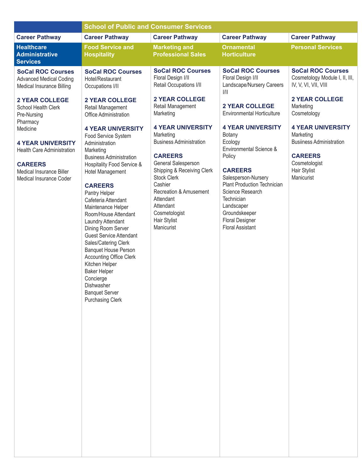|                                                                                                                                                                | <b>School of Public and Consumer Services</b>                                                                                                                                                                                                                                                                                                                                                                                                                                                                                                                                   |                                                                                                                                                                                                                                                                                               |                                                                                                                                                                                                                                                                                         |                                                                                                                                           |  |
|----------------------------------------------------------------------------------------------------------------------------------------------------------------|---------------------------------------------------------------------------------------------------------------------------------------------------------------------------------------------------------------------------------------------------------------------------------------------------------------------------------------------------------------------------------------------------------------------------------------------------------------------------------------------------------------------------------------------------------------------------------|-----------------------------------------------------------------------------------------------------------------------------------------------------------------------------------------------------------------------------------------------------------------------------------------------|-----------------------------------------------------------------------------------------------------------------------------------------------------------------------------------------------------------------------------------------------------------------------------------------|-------------------------------------------------------------------------------------------------------------------------------------------|--|
| <b>Career Pathway</b>                                                                                                                                          | <b>Career Pathway</b>                                                                                                                                                                                                                                                                                                                                                                                                                                                                                                                                                           | <b>Career Pathway</b>                                                                                                                                                                                                                                                                         | <b>Career Pathway</b>                                                                                                                                                                                                                                                                   | <b>Career Pathway</b>                                                                                                                     |  |
| <b>Healthcare</b><br><b>Administrative</b><br><b>Services</b>                                                                                                  | <b>Food Service and</b><br><b>Hospitality</b>                                                                                                                                                                                                                                                                                                                                                                                                                                                                                                                                   | <b>Marketing and</b><br><b>Professional Sales</b>                                                                                                                                                                                                                                             | <b>Ornamental</b><br><b>Horticulture</b>                                                                                                                                                                                                                                                | <b>Personal Services</b>                                                                                                                  |  |
| <b>SoCal ROC Courses</b><br><b>Advanced Medical Coding</b><br>Medical Insurance Billing                                                                        | <b>SoCal ROC Courses</b><br>Hotel/Restaurant<br>Occupations I/II                                                                                                                                                                                                                                                                                                                                                                                                                                                                                                                | <b>SoCal ROC Courses</b><br>Floral Design I/II<br>Retail Occupations I/II                                                                                                                                                                                                                     | <b>SoCal ROC Courses</b><br>Floral Design I/II<br>Landscape/Nursery Careers<br>$\frac{1}{1}$                                                                                                                                                                                            | <b>SoCal ROC Courses</b><br>Cosmetology Module I, II, III,<br>IV, V, VI, VII, VIII                                                        |  |
| <b>2 YEAR COLLEGE</b><br>School Health Clerk<br>Pre-Nursing                                                                                                    | <b>2 YEAR COLLEGE</b><br>Retail Management<br>Office Administration                                                                                                                                                                                                                                                                                                                                                                                                                                                                                                             | <b>2 YEAR COLLEGE</b><br>Retail Management<br>Marketing                                                                                                                                                                                                                                       | <b>2 YEAR COLLEGE</b><br><b>Environmental Horticulture</b>                                                                                                                                                                                                                              | <b>2 YEAR COLLEGE</b><br>Marketing<br>Cosmetology                                                                                         |  |
| Pharmacy<br>Medicine<br><b>4 YEAR UNIVERSITY</b><br><b>Health Care Administration</b><br><b>CAREERS</b><br>Medical Insurance Biller<br>Medical Insurance Coder | <b>4 YEAR UNIVERSITY</b><br>Food Service System<br>Administration<br>Marketing<br><b>Business Administration</b><br>Hospitality Food Service &<br><b>Hotel Management</b><br><b>CAREERS</b><br>Pantry Helper<br>Cafeteria Attendant<br>Maintenance Helper<br>Room/House Attendant<br>Laundry Attendant<br>Dining Room Server<br><b>Guest Service Attendant</b><br>Sales/Catering Clerk<br><b>Banquet House Person</b><br><b>Accounting Office Clerk</b><br>Kitchen Helper<br><b>Baker Helper</b><br>Concierge<br>Dishwasher<br><b>Banquet Server</b><br><b>Purchasing Clerk</b> | <b>4 YEAR UNIVERSITY</b><br>Marketing<br><b>Business Administration</b><br><b>CAREERS</b><br>General Salesperson<br>Shipping & Receiving Clerk<br><b>Stock Clerk</b><br>Cashier<br><b>Recreation &amp; Amusement</b><br>Attendant<br>Attendant<br>Cosmetologist<br>Hair Stylist<br>Manicurist | <b>4 YEAR UNIVERSITY</b><br>Botany<br>Ecology<br>Environmental Science &<br>Policy<br><b>CAREERS</b><br>Salesperson-Nursery<br><b>Plant Production Technician</b><br>Science Research<br>Technician<br>Landscaper<br>Groundskeeper<br><b>Floral Designer</b><br><b>Floral Assistant</b> | <b>4 YEAR UNIVERSITY</b><br>Marketing<br><b>Busiiness Administration</b><br><b>CAREERS</b><br>Cosmetologist<br>Hair Stylist<br>Manicurist |  |
|                                                                                                                                                                |                                                                                                                                                                                                                                                                                                                                                                                                                                                                                                                                                                                 |                                                                                                                                                                                                                                                                                               |                                                                                                                                                                                                                                                                                         |                                                                                                                                           |  |
|                                                                                                                                                                |                                                                                                                                                                                                                                                                                                                                                                                                                                                                                                                                                                                 |                                                                                                                                                                                                                                                                                               |                                                                                                                                                                                                                                                                                         |                                                                                                                                           |  |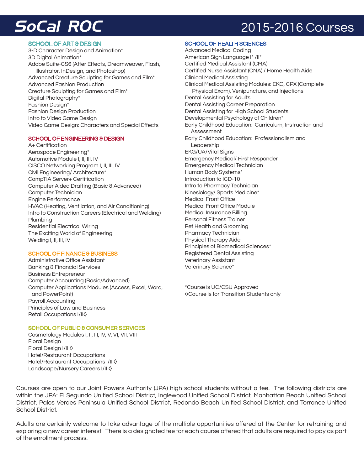### **SoCal ROC** 2015-2016 Courses

#### SCHOOL OF ART & DESIGN

3-D Character Design and Animation\* 3D Digital Animation\* Adobe Suite-CS6 (After Effects, Dreamweaver, Flash, Illustrator, InDesign, and Photoshop) Advanced Creature Sculpting for Games and Film\* Advanced Fashion Production Creature Sculpting for Games and Film\* Digital Photography\* Fashion Design\* Fashion Design Production Intro to Video Game Design Video Game Design: Characters and Special Effects

#### SCHOOL OF ENGINEERING & DESIGN

A+ Certification Aerospace Engineering\* Automotive Module I, II, III, IV CISCO Networking Program I, II, III, IV Civil Engineering/ Architecture\* CompTIA Server+ Certification Computer Aided Drafting (Basic & Advanced) Computer Technician Engine Performance HVAC (Heating, Ventilation, and Air Conditioning) Intro to Construction Careers (Electrical and Welding) Plumbing Residential Electrical Wiring The Exciting World of Engineering Welding I, II, III, IV

#### SCHOOL OF FINANCE & BUSINESS

Administrative Office Assistant Banking & Financial Services Business Entrepreneur Computer Accounting (Basic/Advanced) Computer Applications Modules (Access, Excel, Word, and PowerPoint) Payroll Accounting Principles of Law and Business Retail Occupations I/II◊

Advanced Medical Coding American Sign Language I\* /II\* Certified Medical Assistant (CMA) Certified Nurse Assistant (CNA) / Home Health Aide Clinical Medical Assisting Clinical Medical Assisting Modules: EKG, CPX (Complete Physical Exam), Venipuncture, and Injections Dental Assisting for Adults Dental Assisting Career Preparation Dental Assisting for High School Students Developmental Psychology of Children\* Early Childhood Education: Curriculum, Instruction and Assessment Early Childhood Education: Professionalism and Leadership EKG/UA/Vital Signs Emergency Medical/ First Responder Emergency Medical Technician Human Body Systems\* Introduction to ICD-10 Intro to Pharmacy Technician Kinesiology/ Sports Medicine\* Medical Front Office Medical Front Office Module Medical Insurance Billing Personal Fitness Trainer Pet Health and Grooming Pharmacy Technician Physical Therapy Aide Principles of Biomedical Sciences\* Registered Dental Assisting Veterinary Assistant Veterinary Science\*

\*Course is UC/CSU Approved ◊Course is for Transition Students only

#### SCHOOL OF PUBLIC & CONSUMER SERVICES

Cosmetology Modules I, II, III, IV, V, VI, VII, VIII Floral Design Floral Design I/II ◊ Hotel/Restaurant Occupations Hotel/Restaurant Occupations I/II ◊ Landscape/Nursery Careers I/II ◊

Courses are open to our Joint Powers Authority (JPA) high school students without a fee. The following districts are within the JPA: El Segundo Unified School District, Inglewood Unified School District, Manhattan Beach Unified School District, Palos Verdes Peninsula Unified School District, Redondo Beach Unified School District, and Torrance Unified School District.

Adults are certainly welcome to take advantage of the multiple opportunities offered at the Center for retraining and exploring a new career interest. There is a designated fee for each course offered that adults are required to pay as part of the enrollment process.

#### SCHOOL OF HEALTH SCIENCES